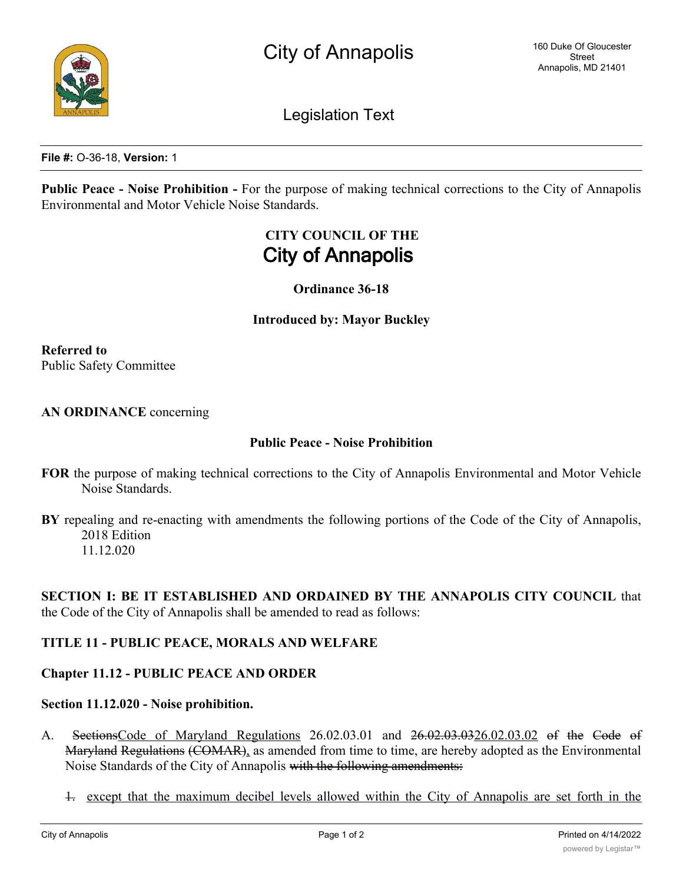

Legislation Text

**File #:** O-36-18, **Version:** 1

**Public Peace - Noise Prohibition -** For the purpose of making technical corrections to the City of Annapolis Environmental and Motor Vehicle Noise Standards.

# **CITY COUNCIL OF THE City of Annapolis**

**Ordinance 36-18**

**Introduced by: Mayor Buckley**

**Referred to** Public Safety Committee

**AN ORDINANCE** concerning

#### **Public Peace - Noise Prohibition**

- **FOR** the purpose of making technical corrections to the City of Annapolis Environmental and Motor Vehicle Noise Standards.
- **BY** repealing and re-enacting with amendments the following portions of the Code of the City of Annapolis, 2018 Edition 11.12.020

**SECTION I: BE IT ESTABLISHED AND ORDAINED BY THE ANNAPOLIS CITY COUNCIL** that the Code of the City of Annapolis shall be amended to read as follows:

## **TITLE 11 - PUBLIC PEACE, MORALS AND WELFARE**

## **Chapter 11.12 - PUBLIC PEACE AND ORDER**

#### **Section 11.12.020 - Noise prohibition.**

- A. Sections Code of Maryland Regulations 26.02.03.01 and 26.02.03.03.03.02 of the Code of Maryland Regulations (COMAR), as amended from time to time, are hereby adopted as the Environmental Noise Standards of the City of Annapolis with the following amendments:
	- 1. except that the maximum decibel levels allowed within the City of Annapolis are set forth in the